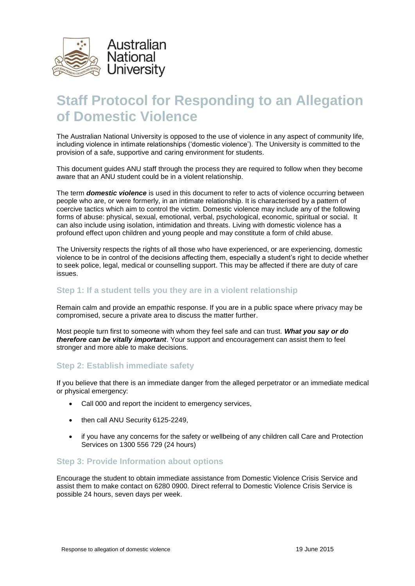

# **Staff Protocol for Responding to an Allegation of Domestic Violence**

The Australian National University is opposed to the use of violence in any aspect of community life, including violence in intimate relationships ('domestic violence'). The University is committed to the provision of a safe, supportive and caring environment for students.

This document guides ANU staff through the process they are required to follow when they become aware that an ANU student could be in a violent relationship.

The term *domestic violence* is used in this document to refer to acts of violence occurring between people who are, or were formerly, in an intimate relationship. It is characterised by a pattern of coercive tactics which aim to control the victim. Domestic violence may include any of the following forms of abuse: physical, sexual, emotional, verbal, psychological, economic, spiritual or social. It can also include using isolation, intimidation and threats. Living with domestic violence has a profound effect upon children and young people and may constitute a form of child abuse.

The University respects the rights of all those who have experienced, or are experiencing, domestic violence to be in control of the decisions affecting them, especially a student's right to decide whether to seek police, legal, medical or counselling support. This may be affected if there are duty of care issues.

### **Step 1: If a student tells you they are in a violent relationship**

Remain calm and provide an empathic response. If you are in a public space where privacy may be compromised, secure a private area to discuss the matter further.

Most people turn first to someone with whom they feel safe and can trust. *What you say or do therefore can be vitally important*. Your support and encouragement can assist them to feel stronger and more able to make decisions.

### **Step 2: Establish immediate safety**

If you believe that there is an immediate danger from the alleged perpetrator or an immediate medical or physical emergency:

- Call 000 and report the incident to emergency services,
- then call ANU Security 6125-2249,
- if you have any concerns for the safety or wellbeing of any children call Care and Protection Services on 1300 556 729 (24 hours)

### **Step 3: Provide Information about options**

Encourage the student to obtain immediate assistance from Domestic Violence Crisis Service and assist them to make contact on 6280 0900. Direct referral to Domestic Violence Crisis Service is possible 24 hours, seven days per week.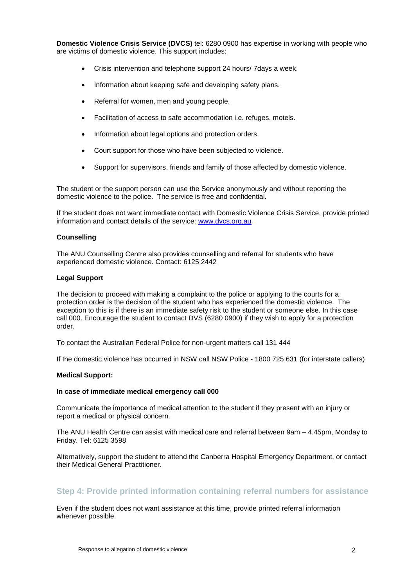**Domestic Violence Crisis Service (DVCS)** tel: 6280 0900 has expertise in working with people who are victims of domestic violence. This support includes:

- Crisis intervention and telephone support 24 hours/ 7days a week.
- Information about keeping safe and developing safety plans.
- Referral for women, men and young people.
- Facilitation of access to safe accommodation i.e. refuges, motels.
- Information about legal options and protection orders.
- Court support for those who have been subjected to violence.
- Support for supervisors, friends and family of those affected by domestic violence.

The student or the support person can use the Service anonymously and without reporting the domestic violence to the police. The service is free and confidential.

If the student does not want immediate contact with Domestic Violence Crisis Service, provide printed information and contact details of the service: [www.dvcs.org.au](http://www.dvcs.org.au/index.php)

#### **Counselling**

The ANU Counselling Centre also provides counselling and referral for students who have experienced domestic violence. Contact: 6125 2442

#### **Legal Support**

The decision to proceed with making a complaint to the police or applying to the courts for a protection order is the decision of the student who has experienced the domestic violence. The exception to this is if there is an immediate safety risk to the student or someone else. In this case call 000. Encourage the student to contact DVS (6280 0900) if they wish to apply for a protection order.

To contact the Australian Federal Police for non-urgent matters call 131 444

If the domestic violence has occurred in NSW call NSW Police - 1800 725 631 (for interstate callers)

#### **Medical Support:**

### **In case of immediate medical emergency call 000**

Communicate the importance of medical attention to the student if they present with an injury or report a medical or physical concern.

The ANU Health Centre can assist with medical care and referral between 9am – 4.45pm, Monday to Friday. Tel: 6125 3598

Alternatively, support the student to attend the Canberra Hospital Emergency Department, or contact their Medical General Practitioner.

### **Step 4: Provide printed information containing referral numbers for assistance**

Even if the student does not want assistance at this time, provide printed referral information whenever possible.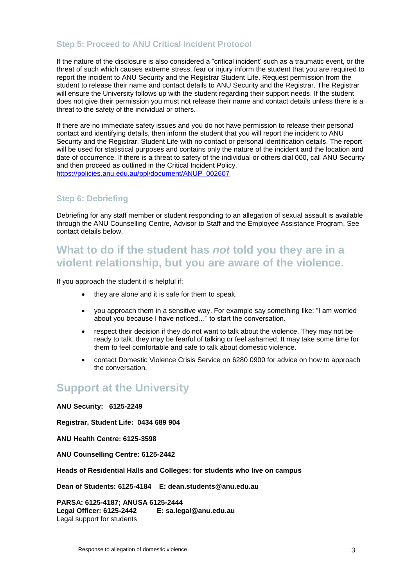# **Step 5: Proceed to ANU Critical Incident Protocol**

If the nature of the disclosure is also considered a "critical incident' such as a traumatic event, or the threat of such which causes extreme stress, fear or injury inform the student that you are required to report the incident to ANU Security and the Registrar Student Life. Request permission from the student to release their name and contact details to ANU Security and the Registrar. The Registrar will ensure the University follows up with the student regarding their support needs. If the student does not give their permission you must not release their name and contact details unless there is a threat to the safety of the individual or others.

If there are no immediate safety issues and you do not have permission to release their personal contact and identifying details, then inform the student that you will report the incident to ANU Security and the Registrar, Student Life with no contact or personal identification details. The report will be used for statistical purposes and contains only the nature of the incident and the location and date of occurrence. If there is a threat to safety of the individual or others dial 000, call ANU Security and then proceed as outlined in the Critical Incident Policy. [https://policies.anu.edu.au/ppl/document/ANUP\\_002607](https://policies.anu.edu.au/ppl/document/ANUP_002607)

## **Step 6: Debriefing**

Debriefing for any staff member or student responding to an allegation of sexual assault is available through the ANU Counselling Centre, Advisor to Staff and the Employee Assistance Program. See contact details below.

# **What to do if the student has** *not* **told you they are in a violent relationship, but you are aware of the violence.**

If you approach the student it is helpful if:

- they are alone and it is safe for them to speak.
- you approach them in a sensitive way. For example say something like: "I am worried about you because I have noticed…" to start the conversation.
- respect their decision if they do not want to talk about the violence. They may not be ready to talk, they may be fearful of talking or feel ashamed. It may take some time for them to feel comfortable and safe to talk about domestic violence.
- contact Domestic Violence Crisis Service on 6280 0900 for advice on how to approach the conversation.

# **Support at the University**

**ANU Security: 6125-2249**

**Registrar, Student Life: 0434 689 904**

**ANU Health Centre: 6125-3598** 

**ANU Counselling Centre: 6125-2442** 

**Heads of Residential Halls and Colleges: for students who live on campus**

**Dean of Students: 6125-4184 E: dean.students@anu.edu.au**

**PARSA: 6125-4187; ANUSA 6125-2444 Legal Officer: 6125-2442 E: sa.legal@anu.edu.au** Legal support for students